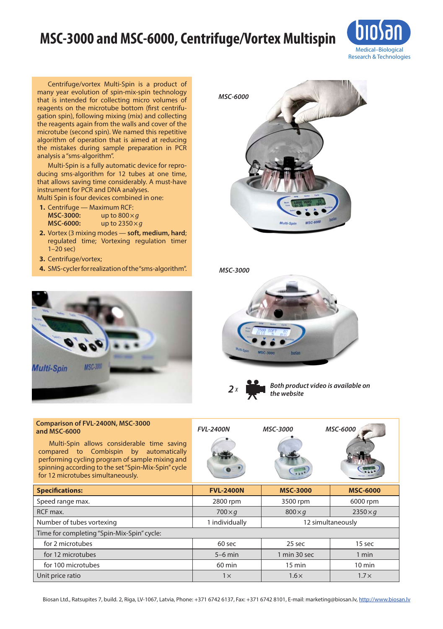## **MSC-3000 and MSC-6000, Centrifuge/Vortex Multispin**



Centrifuge/vortex Multi-Spin is a product of many year evolution of spin-mix-spin technology that is intended for collecting micro volumes of reagents on the microtube bottom (first centrifugation spin), following mixing (mix) and collecting the reagents again from the walls and cover of the microtube (second spin). We named this repetitive algorithm of operation that is aimed at reducing the mistakes during sample preparation in PCR analysis a "sms-algorithm".

Multi-Spin is a fully automatic device for reproducing sms-algorithm for 12 tubes at one time, that allows saving time considerably. A must-have instrument for PCR and DNA analyses. Multi Spin is four devices combined in one:

- **1.** Centrifuge Maximum RCF:<br>**MSC-3000:** up to 800 × **MSC-3000:** up to 800 × *g*<br>**MSC-6000:** up to 2350 × **MSC-6000:** up to 2350×*g*
- **2.** Vortex (3 mixing modes **soft, medium, hard**; regulated time; Vortexing regulation timer 1–20 sec)
- **3.** Centrifuge/vortex;

**and MSC-6000**

**4.** SMS-cycler for realization of the "sms-algorithm".



*MSC-3000*







*Both product video is available on*   $the$  *website* 

| Comparison of FVL-2400N, MSC-3000<br>and MSC-6000<br>Multi-Spin allows considerable time saving<br>compared to Combispin by automatically<br>performing cycling program of sample mixing and<br>spinning according to the set "Spin-Mix-Spin" cycle<br>for 12 microtubes simultaneously. | <b>FVL-2400N</b> | <b>MSC-3000</b> | <b>MSC-6000</b> |
|------------------------------------------------------------------------------------------------------------------------------------------------------------------------------------------------------------------------------------------------------------------------------------------|------------------|-----------------|-----------------|
| <b>Specifications:</b>                                                                                                                                                                                                                                                                   | <b>FVL-2400N</b> | <b>MSC-3000</b> | <b>MSC-6000</b> |
| Speed range max.                                                                                                                                                                                                                                                                         | 2800 rpm         | 3500 rpm        | 6000 rpm        |
| RCF max.                                                                                                                                                                                                                                                                                 | $700\times q$    | $800\times q$   | $2350\times q$  |
|                                                                                                                                                                                                                                                                                          |                  |                 |                 |

| Number of tubes vortexing                  | 1 individually   | 12 simultaneously |                  |  |
|--------------------------------------------|------------------|-------------------|------------------|--|
| Time for completing "Spin-Mix-Spin" cycle: |                  |                   |                  |  |
| for 2 microtubes                           | 60 sec           | 25 sec            | 15 sec           |  |
| for 12 microtubes                          | $5-6$ min        | 1 min 30 sec      | 1 min            |  |
| for 100 microtubes                         | $60 \text{ min}$ | $15 \text{ min}$  | $10 \text{ min}$ |  |
| Unit price ratio                           | 1 x              | $1.6\times$       | $1.7\times$      |  |